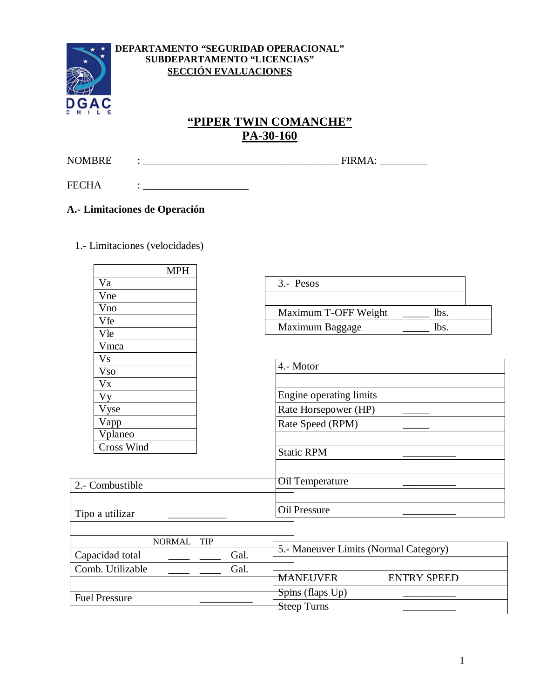

#### DEPARTAMENTO "SEGURIDAD OPERACIONAL" SUBDEPARTAMENTO "LICENCIAS" **SECCIÓN EVALUACIONES**

# "PIPER TWIN COMANCHE" PA-30-160

**NOMBRE** 

**FECHA** 

## A.- Limitaciones de Operación

 $\mathbf{r} = \mathbf{r} \times \mathbf{r}$  and  $\mathbf{r} = \mathbf{r} \times \mathbf{r}$  and  $\mathbf{r} = \mathbf{r} \times \mathbf{r}$ 

1.- Limitaciones (velocidades)

| Va<br>3.- Pesos<br>Vne<br>Vno<br>Maximum T-OFF Weight<br>lbs.<br>Vfe<br>Maximum Baggage<br>lbs.<br>Vle<br>Vmca<br>V <sub>S</sub><br>4.- Motor<br><b>V<sub>so</sub></b><br>$V_{X}$<br>Engine operating limits<br><b>Vy</b><br>Rate Horsepower (HP)<br>Vyse<br>Vapp<br>Rate Speed (RPM)<br>Vplaneo<br><b>Cross Wind</b><br><b>Static RPM</b><br><b>Oil</b> Temperature<br>2.- Combustible<br><b>Oil Pressure</b><br>Tipo a utilizar<br><b>NORMAL</b><br><b>TIP</b><br>5.- Maneuver Limits (Normal Category)<br>Capacidad total<br>Gal.<br>Comb. Utilizable<br>Gal.<br><b>MANEUVER</b><br><b>ENTRY SPEED</b><br>Spins (flaps Up)<br><b>Fuel Pressure</b><br>Steep Turns |  | <b>MPH</b> |  |  |  |
|----------------------------------------------------------------------------------------------------------------------------------------------------------------------------------------------------------------------------------------------------------------------------------------------------------------------------------------------------------------------------------------------------------------------------------------------------------------------------------------------------------------------------------------------------------------------------------------------------------------------------------------------------------------------|--|------------|--|--|--|
|                                                                                                                                                                                                                                                                                                                                                                                                                                                                                                                                                                                                                                                                      |  |            |  |  |  |
|                                                                                                                                                                                                                                                                                                                                                                                                                                                                                                                                                                                                                                                                      |  |            |  |  |  |
|                                                                                                                                                                                                                                                                                                                                                                                                                                                                                                                                                                                                                                                                      |  |            |  |  |  |
|                                                                                                                                                                                                                                                                                                                                                                                                                                                                                                                                                                                                                                                                      |  |            |  |  |  |
|                                                                                                                                                                                                                                                                                                                                                                                                                                                                                                                                                                                                                                                                      |  |            |  |  |  |
|                                                                                                                                                                                                                                                                                                                                                                                                                                                                                                                                                                                                                                                                      |  |            |  |  |  |
|                                                                                                                                                                                                                                                                                                                                                                                                                                                                                                                                                                                                                                                                      |  |            |  |  |  |
|                                                                                                                                                                                                                                                                                                                                                                                                                                                                                                                                                                                                                                                                      |  |            |  |  |  |
|                                                                                                                                                                                                                                                                                                                                                                                                                                                                                                                                                                                                                                                                      |  |            |  |  |  |
|                                                                                                                                                                                                                                                                                                                                                                                                                                                                                                                                                                                                                                                                      |  |            |  |  |  |
|                                                                                                                                                                                                                                                                                                                                                                                                                                                                                                                                                                                                                                                                      |  |            |  |  |  |
|                                                                                                                                                                                                                                                                                                                                                                                                                                                                                                                                                                                                                                                                      |  |            |  |  |  |
|                                                                                                                                                                                                                                                                                                                                                                                                                                                                                                                                                                                                                                                                      |  |            |  |  |  |
|                                                                                                                                                                                                                                                                                                                                                                                                                                                                                                                                                                                                                                                                      |  |            |  |  |  |
|                                                                                                                                                                                                                                                                                                                                                                                                                                                                                                                                                                                                                                                                      |  |            |  |  |  |
|                                                                                                                                                                                                                                                                                                                                                                                                                                                                                                                                                                                                                                                                      |  |            |  |  |  |
|                                                                                                                                                                                                                                                                                                                                                                                                                                                                                                                                                                                                                                                                      |  |            |  |  |  |
|                                                                                                                                                                                                                                                                                                                                                                                                                                                                                                                                                                                                                                                                      |  |            |  |  |  |
|                                                                                                                                                                                                                                                                                                                                                                                                                                                                                                                                                                                                                                                                      |  |            |  |  |  |
|                                                                                                                                                                                                                                                                                                                                                                                                                                                                                                                                                                                                                                                                      |  |            |  |  |  |
|                                                                                                                                                                                                                                                                                                                                                                                                                                                                                                                                                                                                                                                                      |  |            |  |  |  |
|                                                                                                                                                                                                                                                                                                                                                                                                                                                                                                                                                                                                                                                                      |  |            |  |  |  |
|                                                                                                                                                                                                                                                                                                                                                                                                                                                                                                                                                                                                                                                                      |  |            |  |  |  |
|                                                                                                                                                                                                                                                                                                                                                                                                                                                                                                                                                                                                                                                                      |  |            |  |  |  |
|                                                                                                                                                                                                                                                                                                                                                                                                                                                                                                                                                                                                                                                                      |  |            |  |  |  |
|                                                                                                                                                                                                                                                                                                                                                                                                                                                                                                                                                                                                                                                                      |  |            |  |  |  |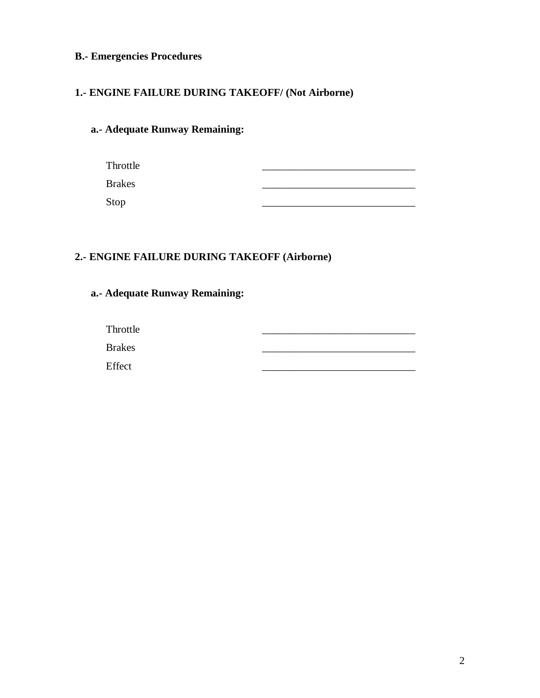## **B.- Emergencies Procedures**

### **1.- ENGINE FAILURE DURING TAKEOFF/ (Not Airborne)**

## **a.- Adequate Runway Remaining:**

| Throttle      |  |
|---------------|--|
| <b>Brakes</b> |  |
| Stop          |  |

### **2.- ENGINE FAILURE DURING TAKEOFF (Airborne)**

## **a.- Adequate Runway Remaining:**

| Throttle      |  |
|---------------|--|
| <b>Brakes</b> |  |
| Effect        |  |